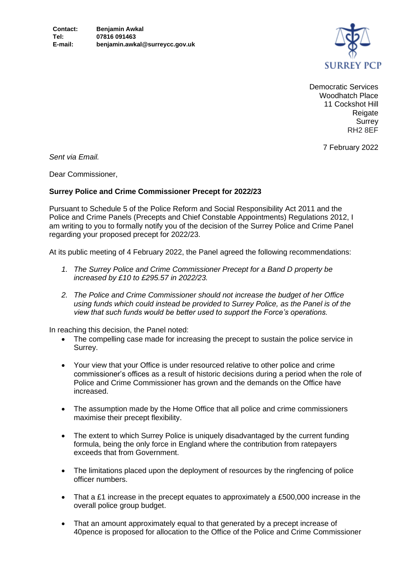

Democratic Services Woodhatch Place 11 Cockshot Hill Reigate **Surrey** RH2 8EF

7 February 2022

*Sent via Email.*

Dear Commissioner,

## **Surrey Police and Crime Commissioner Precept for 2022/23**

Pursuant to Schedule 5 of the Police Reform and Social Responsibility Act 2011 and the Police and Crime Panels (Precepts and Chief Constable Appointments) Regulations 2012, I am writing to you to formally notify you of the decision of the Surrey Police and Crime Panel regarding your proposed precept for 2022/23.

At its public meeting of 4 February 2022, the Panel agreed the following recommendations:

- *1. The Surrey Police and Crime Commissioner Precept for a Band D property be increased by £10 to £295.57 in 2022/23.*
- *2. The Police and Crime Commissioner should not increase the budget of her Office using funds which could instead be provided to Surrey Police, as the Panel is of the view that such funds would be better used to support the Force's operations.*

In reaching this decision, the Panel noted:

- The compelling case made for increasing the precept to sustain the police service in Surrey.
- Your view that your Office is under resourced relative to other police and crime commissioner's offices as a result of historic decisions during a period when the role of Police and Crime Commissioner has grown and the demands on the Office have increased.
- The assumption made by the Home Office that all police and crime commissioners maximise their precept flexibility.
- The extent to which Surrey Police is uniquely disadvantaged by the current funding formula, being the only force in England where the contribution from ratepayers exceeds that from Government.
- The limitations placed upon the deployment of resources by the ringfencing of police officer numbers.
- That a £1 increase in the precept equates to approximately a £500,000 increase in the overall police group budget.
- That an amount approximately equal to that generated by a precept increase of 40pence is proposed for allocation to the Office of the Police and Crime Commissioner